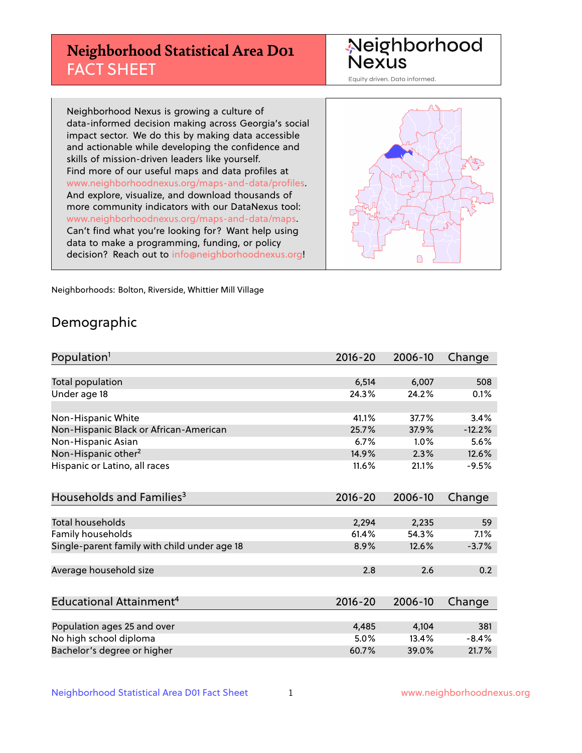## **Neighborhood Statistical Area D01** FACT SHEET

Neighborhood Nexus

Equity driven. Data informed.

Neighborhood Nexus is growing a culture of data-informed decision making across Georgia's social impact sector. We do this by making data accessible and actionable while developing the confidence and skills of mission-driven leaders like yourself. Find more of our useful maps and data profiles at www.neighborhoodnexus.org/maps-and-data/profiles. And explore, visualize, and download thousands of more community indicators with our DataNexus tool: www.neighborhoodnexus.org/maps-and-data/maps. Can't find what you're looking for? Want help using data to make a programming, funding, or policy decision? Reach out to [info@neighborhoodnexus.org!](mailto:info@neighborhoodnexus.org)



Neighborhoods: Bolton, Riverside, Whittier Mill Village

### Demographic

| Population <sup>1</sup>                      | 2016-20     | 2006-10 | Change   |
|----------------------------------------------|-------------|---------|----------|
|                                              |             |         |          |
| Total population                             | 6,514       | 6,007   | 508      |
| Under age 18                                 | 24.3%       | 24.2%   | 0.1%     |
|                                              |             |         |          |
| Non-Hispanic White                           | 41.1%       | 37.7%   | 3.4%     |
| Non-Hispanic Black or African-American       | 25.7%       | 37.9%   | $-12.2%$ |
| Non-Hispanic Asian                           | 6.7%        | $1.0\%$ | 5.6%     |
| Non-Hispanic other <sup>2</sup>              | 14.9%       | 2.3%    | 12.6%    |
| Hispanic or Latino, all races                | 11.6%       | 21.1%   | $-9.5%$  |
|                                              |             |         |          |
| Households and Families <sup>3</sup>         | $2016 - 20$ | 2006-10 | Change   |
|                                              |             |         |          |
| <b>Total households</b>                      | 2,294       | 2,235   | 59       |
| Family households                            | 61.4%       | 54.3%   | 7.1%     |
| Single-parent family with child under age 18 | 8.9%        | 12.6%   | $-3.7%$  |
|                                              |             |         |          |
| Average household size                       | 2.8         | 2.6     | 0.2      |
|                                              |             |         |          |
| Educational Attainment <sup>4</sup>          | $2016 - 20$ | 2006-10 | Change   |
|                                              |             |         |          |
| Population ages 25 and over                  | 4,485       | 4,104   | 381      |
| No high school diploma                       | 5.0%        | 13.4%   | $-8.4%$  |
| Bachelor's degree or higher                  | 60.7%       | 39.0%   | 21.7%    |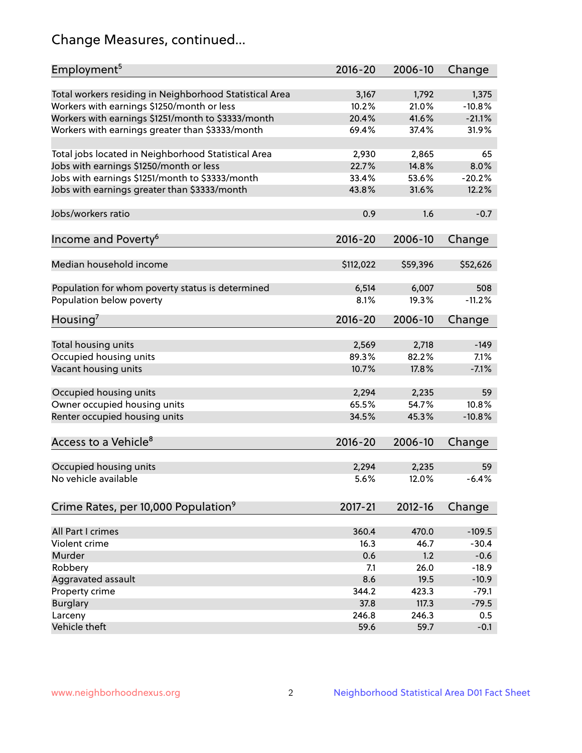## Change Measures, continued...

| Employment <sup>5</sup>                                 | $2016 - 20$    | 2006-10        | Change            |
|---------------------------------------------------------|----------------|----------------|-------------------|
|                                                         |                |                |                   |
| Total workers residing in Neighborhood Statistical Area | 3,167<br>10.2% | 1,792<br>21.0% | 1,375<br>$-10.8%$ |
| Workers with earnings \$1250/month or less              |                |                |                   |
| Workers with earnings \$1251/month to \$3333/month      | 20.4%          | 41.6%          | $-21.1%$          |
| Workers with earnings greater than \$3333/month         | 69.4%          | 37.4%          | 31.9%             |
| Total jobs located in Neighborhood Statistical Area     | 2,930          | 2,865          | 65                |
| Jobs with earnings \$1250/month or less                 | 22.7%          | 14.8%          | 8.0%              |
| Jobs with earnings \$1251/month to \$3333/month         | 33.4%          | 53.6%          | $-20.2%$          |
| Jobs with earnings greater than \$3333/month            | 43.8%          | 31.6%          | 12.2%             |
|                                                         |                |                |                   |
| Jobs/workers ratio                                      | 0.9            | 1.6            | $-0.7$            |
|                                                         |                |                |                   |
| Income and Poverty <sup>6</sup>                         | 2016-20        | 2006-10        | Change            |
| Median household income                                 | \$112,022      | \$59,396       | \$52,626          |
|                                                         |                |                |                   |
| Population for whom poverty status is determined        | 6,514          | 6,007          | 508               |
| Population below poverty                                | 8.1%           | 19.3%          | $-11.2%$          |
|                                                         |                |                |                   |
| Housing <sup>7</sup>                                    | 2016-20        | 2006-10        | Change            |
|                                                         |                |                |                   |
| Total housing units                                     | 2,569          | 2,718          | $-149$            |
| Occupied housing units                                  | 89.3%          | 82.2%          | 7.1%              |
| Vacant housing units                                    | 10.7%          | 17.8%          | $-7.1%$           |
| Occupied housing units                                  | 2,294          | 2,235          | 59                |
| Owner occupied housing units                            | 65.5%          | 54.7%          | 10.8%             |
| Renter occupied housing units                           | 34.5%          | 45.3%          | $-10.8%$          |
|                                                         |                |                |                   |
| Access to a Vehicle <sup>8</sup>                        | $2016 - 20$    | 2006-10        | Change            |
|                                                         |                |                |                   |
| Occupied housing units                                  | 2,294          | 2,235          | 59                |
| No vehicle available                                    | 5.6%           | 12.0%          | $-6.4%$           |
|                                                         |                |                |                   |
| Crime Rates, per 10,000 Population <sup>9</sup>         | 2017-21        | 2012-16        | Change            |
|                                                         |                |                |                   |
| All Part I crimes                                       | 360.4          | 470.0          | $-109.5$          |
| Violent crime                                           | 16.3           | 46.7           | $-30.4$           |
| Murder                                                  | 0.6            | 1.2            | $-0.6$            |
| Robbery                                                 | 7.1            | 26.0           | $-18.9$           |
| Aggravated assault                                      | 8.6            | 19.5           | $-10.9$           |
| Property crime                                          | 344.2          | 423.3          | $-79.1$           |
| <b>Burglary</b>                                         | 37.8           | 117.3          | $-79.5$           |
| Larceny                                                 | 246.8          | 246.3          | 0.5               |
| Vehicle theft                                           | 59.6           | 59.7           | $-0.1$            |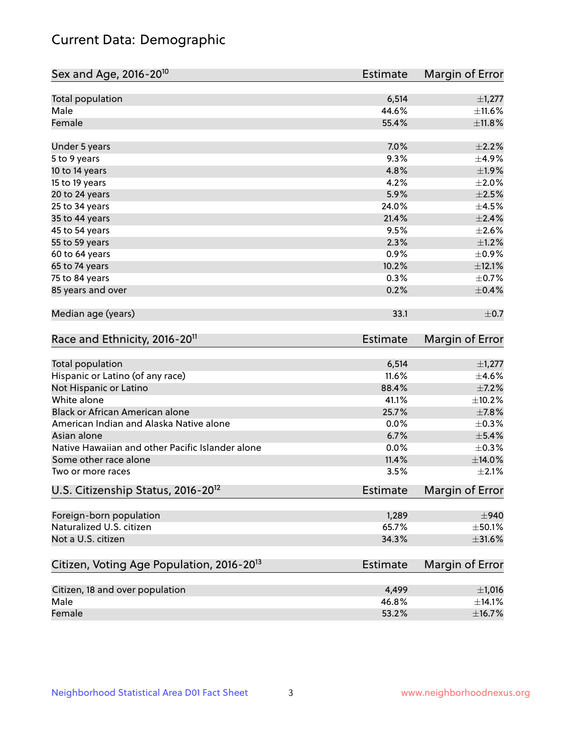## Current Data: Demographic

| Sex and Age, 2016-20 <sup>10</sup>                    | <b>Estimate</b> | Margin of Error        |
|-------------------------------------------------------|-----------------|------------------------|
| Total population                                      | 6,514           | $\pm$ 1,277            |
| Male                                                  | 44.6%           | ±11.6%                 |
| Female                                                | 55.4%           | ±11.8%                 |
| Under 5 years                                         | 7.0%            | $\pm 2.2\%$            |
| 5 to 9 years                                          | 9.3%            | ±4.9%                  |
| 10 to 14 years                                        | 4.8%            | $\pm$ 1.9%             |
| 15 to 19 years                                        | 4.2%            | $\pm 2.0\%$            |
| 20 to 24 years                                        | 5.9%            | $\pm 2.5\%$            |
| 25 to 34 years                                        | 24.0%           | $\pm 4.5\%$            |
| 35 to 44 years                                        | 21.4%           | $\pm 2.4\%$            |
| 45 to 54 years                                        | 9.5%            | $\pm 2.6\%$            |
| 55 to 59 years                                        | 2.3%            | $\pm 1.2\%$            |
| 60 to 64 years                                        | 0.9%            | $\pm$ 0.9%             |
| 65 to 74 years                                        | 10.2%           | $\pm$ 12.1%            |
| 75 to 84 years                                        | 0.3%            | $\pm$ 0.7%             |
| 85 years and over                                     | 0.2%            | $\pm$ 0.4%             |
| Median age (years)                                    | 33.1            | $\pm$ 0.7              |
| Race and Ethnicity, 2016-20 <sup>11</sup>             | <b>Estimate</b> | Margin of Error        |
| <b>Total population</b>                               | 6,514           | $\pm$ 1,277            |
| Hispanic or Latino (of any race)                      | 11.6%           | $\pm$ 4.6%             |
| Not Hispanic or Latino                                | 88.4%           | $\pm$ 7.2%             |
| White alone                                           | 41.1%           | ±10.2%                 |
| Black or African American alone                       | 25.7%           | $\pm$ 7.8%             |
| American Indian and Alaska Native alone               | 0.0%            | $\pm$ 0.3%             |
| Asian alone                                           | 6.7%            | $\pm$ 5.4%             |
| Native Hawaiian and other Pacific Islander alone      | 0.0%            | $\pm$ 0.3%             |
| Some other race alone                                 | 11.4%           | $\pm$ 14.0%            |
| Two or more races                                     | 3.5%            | $\pm 2.1\%$            |
| U.S. Citizenship Status, 2016-20 <sup>12</sup>        | <b>Estimate</b> | <b>Margin of Error</b> |
| Foreign-born population                               | 1,289           | $\pm$ 940              |
| Naturalized U.S. citizen                              | 65.7%           | $\pm$ 50.1%            |
| Not a U.S. citizen                                    | 34.3%           | $\pm$ 31.6%            |
| Citizen, Voting Age Population, 2016-20 <sup>13</sup> | Estimate        | Margin of Error        |
| Citizen, 18 and over population                       | 4,499           | ±1,016                 |
| Male                                                  | 46.8%           | $\pm$ 14.1%            |
| Female                                                | 53.2%           | ±16.7%                 |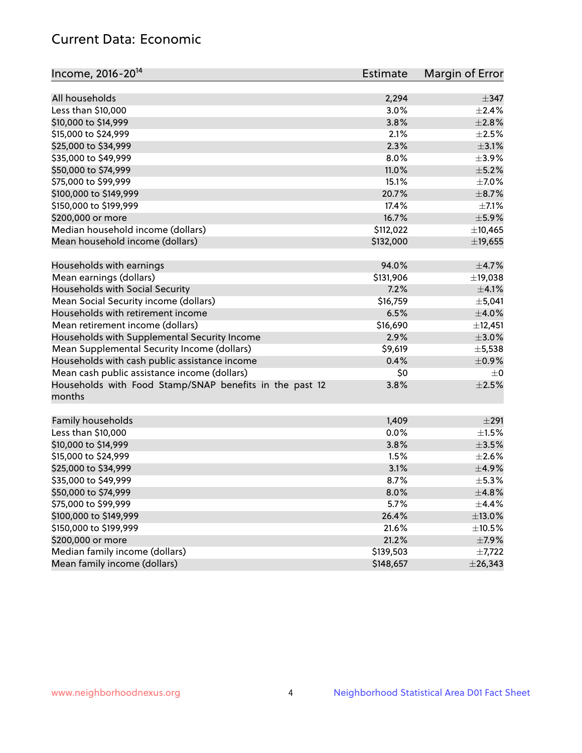## Current Data: Economic

| All households<br>2,294                                                   | $\pm$ 347   |
|---------------------------------------------------------------------------|-------------|
| Less than \$10,000<br>3.0%                                                | $\pm 2.4\%$ |
| 3.8%<br>\$10,000 to \$14,999                                              | ±2.8%       |
| \$15,000 to \$24,999<br>2.1%                                              | $\pm 2.5\%$ |
| 2.3%<br>\$25,000 to \$34,999                                              | $\pm$ 3.1%  |
|                                                                           |             |
| \$35,000 to \$49,999<br>8.0%                                              | $\pm$ 3.9%  |
| \$50,000 to \$74,999<br>11.0%                                             | $\pm$ 5.2%  |
| \$75,000 to \$99,999<br>15.1%                                             | $\pm$ 7.0%  |
| 20.7%<br>\$100,000 to \$149,999                                           | $\pm$ 8.7%  |
| 17.4%<br>\$150,000 to \$199,999                                           | $\pm$ 7.1%  |
| \$200,000 or more<br>16.7%                                                | $\pm$ 5.9%  |
| Median household income (dollars)<br>\$112,022                            | ±10,465     |
| Mean household income (dollars)<br>\$132,000                              | ±19,655     |
| Households with earnings<br>94.0%                                         | $\pm$ 4.7%  |
| \$131,906<br>Mean earnings (dollars)                                      | ±19,038     |
| Households with Social Security<br>7.2%                                   | $\pm$ 4.1%  |
| Mean Social Security income (dollars)<br>\$16,759                         | $\pm$ 5,041 |
| Households with retirement income<br>6.5%                                 | $\pm$ 4.0%  |
| Mean retirement income (dollars)<br>\$16,690                              | ±12,451     |
| Households with Supplemental Security Income<br>2.9%                      | $\pm 3.0\%$ |
| Mean Supplemental Security Income (dollars)<br>\$9,619                    | $\pm$ 5,538 |
| Households with cash public assistance income<br>0.4%                     | $\pm$ 0.9%  |
| Mean cash public assistance income (dollars)<br>\$0                       | $\pm 0$     |
| Households with Food Stamp/SNAP benefits in the past 12<br>3.8%<br>months | $\pm 2.5\%$ |
| Family households<br>1,409                                                | $\pm 291$   |
| Less than \$10,000<br>0.0%                                                | $\pm 1.5\%$ |
| \$10,000 to \$14,999<br>3.8%                                              | $\pm$ 3.5%  |
| \$15,000 to \$24,999<br>1.5%                                              | $\pm 2.6\%$ |
| \$25,000 to \$34,999<br>3.1%                                              | $\pm$ 4.9%  |
| \$35,000 to \$49,999<br>8.7%                                              | $\pm$ 5.3%  |
| \$50,000 to \$74,999<br>8.0%                                              | ±4.8%       |
| \$75,000 to \$99,999<br>5.7%                                              | $\pm$ 4.4%  |
| \$100,000 to \$149,999<br>26.4%                                           | $\pm$ 13.0% |
| \$150,000 to \$199,999<br>21.6%                                           | $\pm$ 10.5% |
| \$200,000 or more<br>21.2%                                                | ±7.9%       |
| Median family income (dollars)<br>\$139,503                               | $\pm$ 7,722 |
| Mean family income (dollars)<br>\$148,657<br>± 26,343                     |             |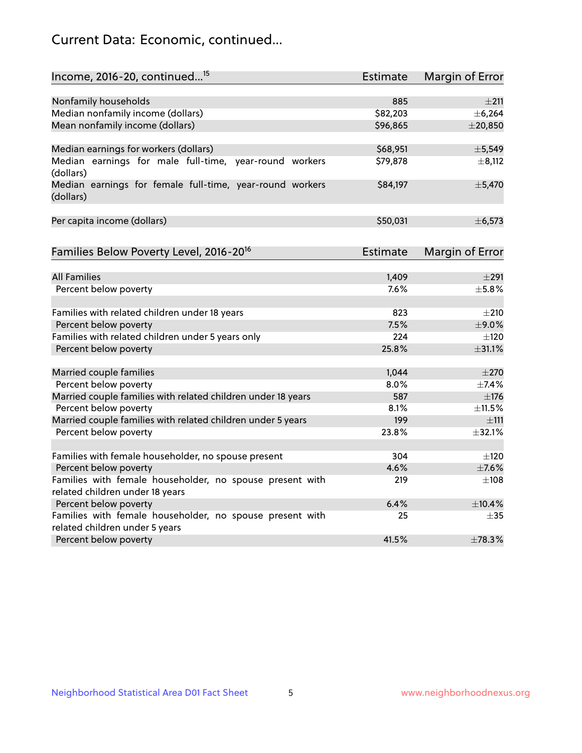## Current Data: Economic, continued...

| Income, 2016-20, continued <sup>15</sup>                              | <b>Estimate</b> | <b>Margin of Error</b> |
|-----------------------------------------------------------------------|-----------------|------------------------|
|                                                                       |                 |                        |
| Nonfamily households                                                  | 885             | $\pm 211$              |
| Median nonfamily income (dollars)                                     | \$82,203        | ± 6,264                |
| Mean nonfamily income (dollars)                                       | \$96,865        | $±$ 20,850             |
| Median earnings for workers (dollars)                                 | \$68,951        | ±5,549                 |
| Median earnings for male full-time, year-round workers                | \$79,878        | $\pm$ 8,112            |
| (dollars)                                                             |                 |                        |
| Median earnings for female full-time, year-round workers<br>(dollars) | \$84,197        | ±5,470                 |
| Per capita income (dollars)                                           | \$50,031        | ±6,573                 |
|                                                                       |                 |                        |
| Families Below Poverty Level, 2016-20 <sup>16</sup>                   | <b>Estimate</b> | <b>Margin of Error</b> |
| <b>All Families</b>                                                   | 1,409           | $\pm 291$              |
| Percent below poverty                                                 | 7.6%            | ±5.8%                  |
|                                                                       |                 |                        |
| Families with related children under 18 years                         | 823             | $\pm 210$              |
| Percent below poverty                                                 | 7.5%            | $\pm$ 9.0%             |
| Families with related children under 5 years only                     | 224             | $\pm 120$              |
| Percent below poverty                                                 | 25.8%           | $\pm$ 31.1%            |
| Married couple families                                               | 1,044           | $\pm 270$              |
| Percent below poverty                                                 | 8.0%            | ±7.4%                  |
| Married couple families with related children under 18 years          | 587             | $\pm$ 176              |
| Percent below poverty                                                 | 8.1%            | ±11.5%                 |
| Married couple families with related children under 5 years           | 199             | $\pm$ 111              |
| Percent below poverty                                                 | 23.8%           | ±32.1%                 |
|                                                                       |                 |                        |
| Families with female householder, no spouse present                   | 304             | $\pm 120$              |
| Percent below poverty                                                 | 4.6%            | $\pm$ 7.6%             |
| Families with female householder, no spouse present with              | 219             | $\pm$ 108              |
| related children under 18 years                                       |                 |                        |
| Percent below poverty                                                 | 6.4%            | ±10.4%                 |
| Families with female householder, no spouse present with              | 25              | $\pm$ 35               |
| related children under 5 years                                        |                 |                        |
| Percent below poverty                                                 | 41.5%           | ±78.3%                 |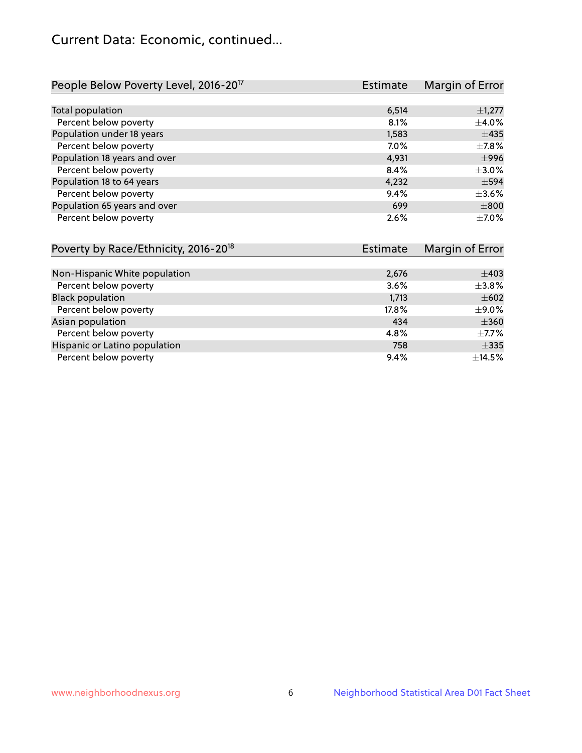## Current Data: Economic, continued...

| People Below Poverty Level, 2016-20 <sup>17</sup> | <b>Estimate</b> | Margin of Error |
|---------------------------------------------------|-----------------|-----------------|
|                                                   |                 |                 |
| Total population                                  | 6,514           | $\pm$ 1,277     |
| Percent below poverty                             | 8.1%            | $\pm$ 4.0%      |
| Population under 18 years                         | 1,583           | $\pm$ 435       |
| Percent below poverty                             | 7.0%            | $\pm$ 7.8%      |
| Population 18 years and over                      | 4,931           | $\pm$ 996       |
| Percent below poverty                             | 8.4%            | $\pm 3.0\%$     |
| Population 18 to 64 years                         | 4,232           | $\pm$ 594       |
| Percent below poverty                             | 9.4%            | $\pm 3.6\%$     |
| Population 65 years and over                      | 699             | $\pm 800$       |
| Percent below poverty                             | 2.6%            | $\pm$ 7.0%      |

| Poverty by Race/Ethnicity, 2016-20 <sup>18</sup> | Estimate | Margin of Error |
|--------------------------------------------------|----------|-----------------|
|                                                  |          |                 |
| Non-Hispanic White population                    | 2,676    | $\pm$ 403       |
| Percent below poverty                            | 3.6%     | $\pm$ 3.8%      |
| <b>Black population</b>                          | 1,713    | $\pm 602$       |
| Percent below poverty                            | 17.8%    | $\pm$ 9.0%      |
| Asian population                                 | 434      | $\pm 360$       |
| Percent below poverty                            | 4.8%     | $\pm$ 7.7%      |
| Hispanic or Latino population                    | 758      | $\pm$ 335       |
| Percent below poverty                            | 9.4%     | $\pm$ 14.5%     |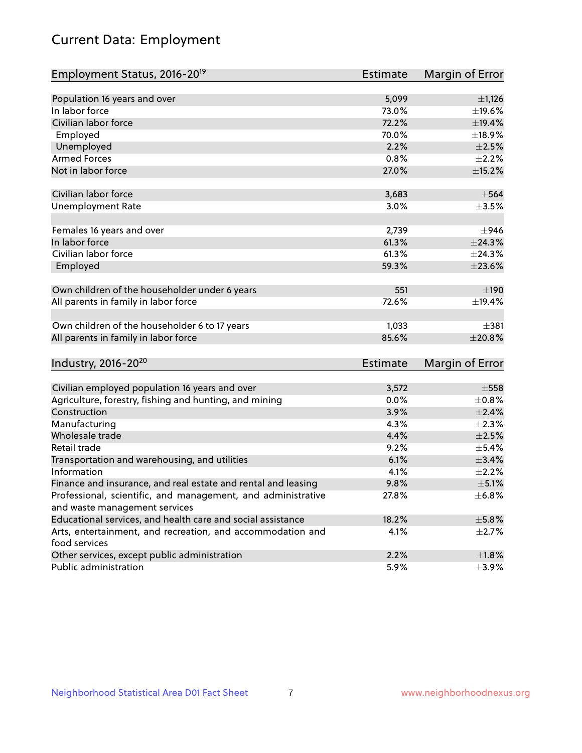# Current Data: Employment

| Employment Status, 2016-20 <sup>19</sup>                      | <b>Estimate</b> | Margin of Error |
|---------------------------------------------------------------|-----------------|-----------------|
|                                                               |                 |                 |
| Population 16 years and over                                  | 5,099           | $\pm$ 1,126     |
| In labor force                                                | 73.0%           | ±19.6%          |
| Civilian labor force                                          | 72.2%           | ±19.4%          |
| Employed                                                      | 70.0%           | ±18.9%          |
| Unemployed                                                    | 2.2%            | $\pm 2.5\%$     |
| <b>Armed Forces</b>                                           | 0.8%            | $\pm 2.2\%$     |
| Not in labor force                                            | 27.0%           | $\pm$ 15.2%     |
| Civilian labor force                                          | 3,683           | $\pm$ 564       |
| <b>Unemployment Rate</b>                                      | 3.0%            | $\pm$ 3.5%      |
| Females 16 years and over                                     | 2,739           | ±946            |
| In labor force                                                | 61.3%           | ±24.3%          |
| Civilian labor force                                          | 61.3%           | ±24.3%          |
| Employed                                                      | 59.3%           | $\pm 23.6\%$    |
| Own children of the householder under 6 years                 | 551             | $\pm 190$       |
| All parents in family in labor force                          | 72.6%           | ±19.4%          |
| Own children of the householder 6 to 17 years                 | 1,033           | $+381$          |
| All parents in family in labor force                          | 85.6%           | ±20.8%          |
|                                                               |                 |                 |
| Industry, 2016-20 <sup>20</sup>                               | <b>Estimate</b> | Margin of Error |
| Civilian employed population 16 years and over                | 3,572           | $\pm$ 558       |
| Agriculture, forestry, fishing and hunting, and mining        | 0.0%            | $\pm$ 0.8%      |
| Construction                                                  | 3.9%            | $\pm 2.4\%$     |
| Manufacturing                                                 | 4.3%            | $\pm 2.3\%$     |
| Wholesale trade                                               | 4.4%            | $\pm 2.5\%$     |
| Retail trade                                                  | 9.2%            | $\pm$ 5.4%      |
| Transportation and warehousing, and utilities                 | 6.1%            | $\pm$ 3.4%      |
| Information                                                   | 4.1%            | $\pm 2.2\%$     |
| Finance and insurance, and real estate and rental and leasing | 9.8%            | $\pm$ 5.1%      |
| Professional, scientific, and management, and administrative  | 27.8%           | ±6.8%           |
| and waste management services                                 |                 |                 |
| Educational services, and health care and social assistance   | 18.2%           | ±5.8%           |
| Arts, entertainment, and recreation, and accommodation and    | 4.1%            | $\pm 2.7\%$     |
| food services                                                 |                 |                 |
| Other services, except public administration                  | 2.2%            | $\pm 1.8\%$     |
| Public administration                                         | 5.9%            | $\pm$ 3.9%      |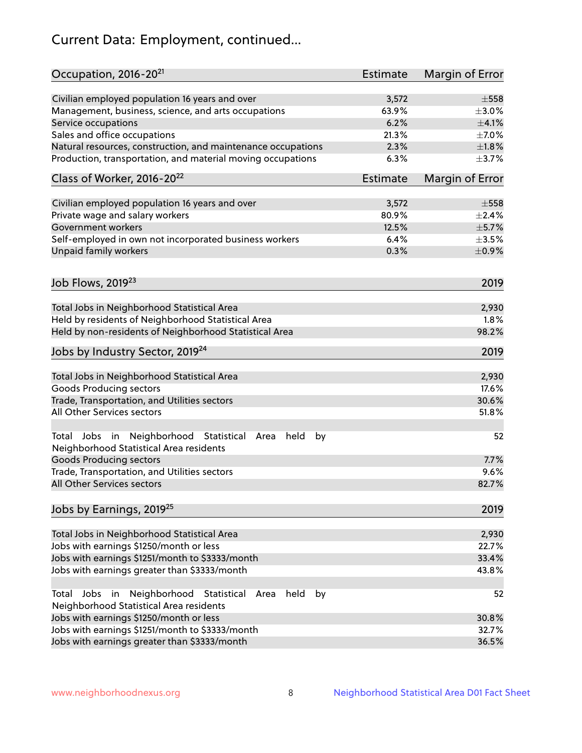# Current Data: Employment, continued...

| Occupation, 2016-20 <sup>21</sup>                                                                             | Estimate        | Margin of Error |
|---------------------------------------------------------------------------------------------------------------|-----------------|-----------------|
| Civilian employed population 16 years and over                                                                | 3,572           | $\pm$ 558       |
| Management, business, science, and arts occupations                                                           | 63.9%           | $\pm 3.0\%$     |
| Service occupations                                                                                           | 6.2%            | $\pm$ 4.1%      |
| Sales and office occupations                                                                                  | 21.3%           | $\pm$ 7.0%      |
| Natural resources, construction, and maintenance occupations                                                  | 2.3%            | $\pm 1.8\%$     |
| Production, transportation, and material moving occupations                                                   | 6.3%            | $\pm$ 3.7%      |
| Class of Worker, 2016-20 <sup>22</sup>                                                                        | <b>Estimate</b> | Margin of Error |
| Civilian employed population 16 years and over                                                                | 3,572           | $\pm$ 558       |
| Private wage and salary workers                                                                               | 80.9%           | ±2.4%           |
| Government workers                                                                                            | 12.5%           | $\pm$ 5.7%      |
| Self-employed in own not incorporated business workers                                                        | 6.4%            | $\pm 3.5\%$     |
| Unpaid family workers                                                                                         | 0.3%            | $\pm$ 0.9%      |
|                                                                                                               |                 |                 |
| Job Flows, 2019 <sup>23</sup>                                                                                 |                 | 2019            |
| Total Jobs in Neighborhood Statistical Area                                                                   |                 | 2,930           |
| Held by residents of Neighborhood Statistical Area                                                            |                 | 1.8%            |
| Held by non-residents of Neighborhood Statistical Area                                                        |                 | 98.2%           |
| Jobs by Industry Sector, 2019 <sup>24</sup>                                                                   |                 | 2019            |
| Total Jobs in Neighborhood Statistical Area                                                                   |                 | 2,930           |
| <b>Goods Producing sectors</b>                                                                                |                 | 17.6%           |
| Trade, Transportation, and Utilities sectors                                                                  |                 | 30.6%           |
| All Other Services sectors                                                                                    |                 | 51.8%           |
| Jobs in Neighborhood<br>Statistical<br>held<br>Total<br>by<br>Area<br>Neighborhood Statistical Area residents |                 | 52              |
| <b>Goods Producing sectors</b>                                                                                |                 | 7.7%            |
| Trade, Transportation, and Utilities sectors                                                                  |                 | 9.6%            |
| All Other Services sectors                                                                                    |                 | 82.7%           |
| Jobs by Earnings, 2019 <sup>25</sup>                                                                          |                 | 2019            |
| Total Jobs in Neighborhood Statistical Area                                                                   |                 | 2,930           |
| Jobs with earnings \$1250/month or less                                                                       |                 | 22.7%           |
| Jobs with earnings \$1251/month to \$3333/month                                                               |                 | 33.4%           |
| Jobs with earnings greater than \$3333/month                                                                  |                 | 43.8%           |
| Neighborhood Statistical<br>Jobs<br>in<br>Area<br>held<br>by<br>Total                                         |                 | 52              |
| Neighborhood Statistical Area residents                                                                       |                 |                 |
| Jobs with earnings \$1250/month or less                                                                       |                 | 30.8%           |
| Jobs with earnings \$1251/month to \$3333/month                                                               |                 | 32.7%           |
| Jobs with earnings greater than \$3333/month                                                                  |                 | 36.5%           |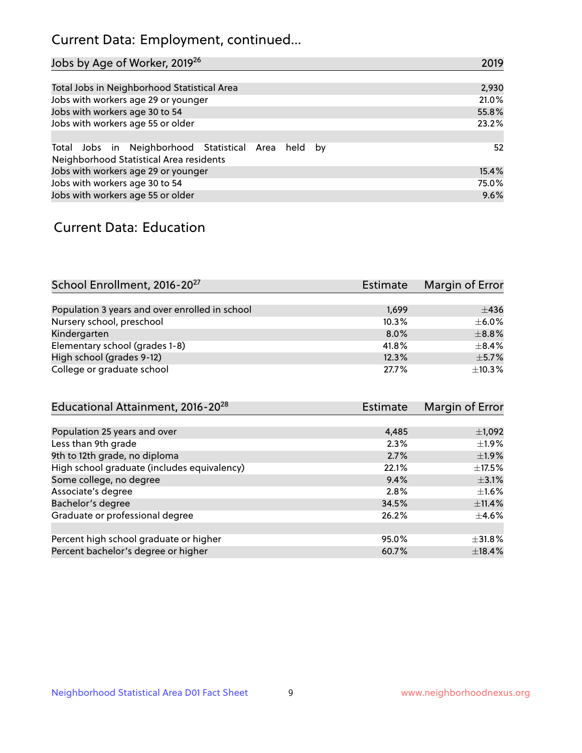## Current Data: Employment, continued...

| Jobs by Age of Worker, 2019 <sup>26</sup>                                                      | 2019  |
|------------------------------------------------------------------------------------------------|-------|
|                                                                                                |       |
| Total Jobs in Neighborhood Statistical Area                                                    | 2,930 |
| Jobs with workers age 29 or younger                                                            | 21.0% |
| Jobs with workers age 30 to 54                                                                 | 55.8% |
| Jobs with workers age 55 or older                                                              | 23.2% |
|                                                                                                |       |
| Total Jobs in Neighborhood Statistical Area held by<br>Neighborhood Statistical Area residents | 52    |
| Jobs with workers age 29 or younger                                                            | 15.4% |
| Jobs with workers age 30 to 54                                                                 | 75.0% |
| Jobs with workers age 55 or older                                                              | 9.6%  |

### Current Data: Education

| School Enrollment, 2016-20 <sup>27</sup>       | Estimate | Margin of Error |
|------------------------------------------------|----------|-----------------|
|                                                |          |                 |
| Population 3 years and over enrolled in school | 1,699    | ±436            |
| Nursery school, preschool                      | 10.3%    | $\pm$ 6.0%      |
| Kindergarten                                   | 8.0%     | $\pm$ 8.8%      |
| Elementary school (grades 1-8)                 | 41.8%    | $+8.4%$         |
| High school (grades 9-12)                      | 12.3%    | $\pm$ 5.7%      |
| College or graduate school                     | 27.7%    | ±10.3%          |

| Estimate | Margin of Error |
|----------|-----------------|
|          |                 |
| 4,485    | $\pm$ 1,092     |
| 2.3%     | $\pm 1.9\%$     |
| 2.7%     | $\pm$ 1.9%      |
| 22.1%    | $\pm$ 17.5%     |
| 9.4%     | $\pm$ 3.1%      |
| 2.8%     | $\pm 1.6\%$     |
| 34.5%    | ±11.4%          |
| 26.2%    | $\pm$ 4.6%      |
|          |                 |
| 95.0%    | $\pm$ 31.8%     |
| 60.7%    | $\pm$ 18.4%     |
|          |                 |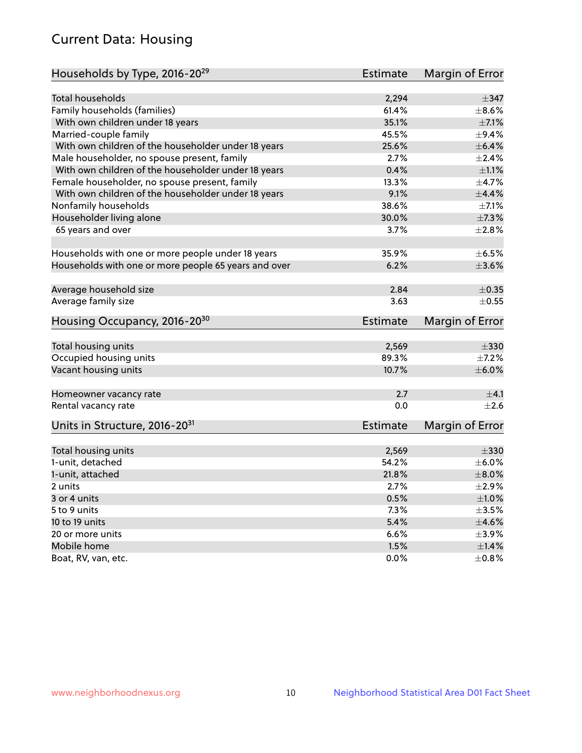## Current Data: Housing

| Households by Type, 2016-20 <sup>29</sup>            | <b>Estimate</b> | Margin of Error        |
|------------------------------------------------------|-----------------|------------------------|
|                                                      |                 |                        |
| Total households                                     | 2,294           | $\pm$ 347              |
| Family households (families)                         | 61.4%           | $\pm$ 8.6%             |
| With own children under 18 years                     | 35.1%           | $\pm$ 7.1%             |
| Married-couple family                                | 45.5%           | $\pm$ 9.4%             |
| With own children of the householder under 18 years  | 25.6%           | $\pm$ 6.4%             |
| Male householder, no spouse present, family          | 2.7%            | $\pm 2.4\%$            |
| With own children of the householder under 18 years  | 0.4%            | $\pm 1.1\%$            |
| Female householder, no spouse present, family        | 13.3%           | $\pm$ 4.7%             |
| With own children of the householder under 18 years  | 9.1%            | $\pm$ 4.4%             |
| Nonfamily households                                 | 38.6%           | $\pm$ 7.1%             |
| Householder living alone                             | 30.0%           | ±7.3%                  |
| 65 years and over                                    | 3.7%            | $\pm 2.8\%$            |
|                                                      |                 |                        |
| Households with one or more people under 18 years    | 35.9%           | $\pm$ 6.5%             |
| Households with one or more people 65 years and over | 6.2%            | $\pm 3.6\%$            |
|                                                      |                 |                        |
| Average household size                               | 2.84            | $\pm$ 0.35             |
| Average family size                                  | 3.63            | $\pm$ 0.55             |
| Housing Occupancy, 2016-20 <sup>30</sup>             | <b>Estimate</b> | Margin of Error        |
|                                                      |                 |                        |
| Total housing units                                  | 2,569           | $\pm$ 330              |
| Occupied housing units                               | 89.3%           | $\pm$ 7.2%             |
| Vacant housing units                                 | 10.7%           | $\pm$ 6.0%             |
| Homeowner vacancy rate                               | 2.7             | ±4.1                   |
| Rental vacancy rate                                  | 0.0             | $\pm 2.6$              |
|                                                      |                 |                        |
| Units in Structure, 2016-20 <sup>31</sup>            | Estimate        | <b>Margin of Error</b> |
| Total housing units                                  | 2,569           | $\pm 330$              |
| 1-unit, detached                                     | 54.2%           | $\pm$ 6.0%             |
| 1-unit, attached                                     | 21.8%           | $\pm$ 8.0%             |
| 2 units                                              | 2.7%            | $\pm 2.9\%$            |
| 3 or 4 units                                         | 0.5%            | $\pm 1.0\%$            |
| 5 to 9 units                                         | 7.3%            | $\pm 3.5\%$            |
| 10 to 19 units                                       | 5.4%            | $\pm 4.6\%$            |
| 20 or more units                                     | 6.6%            | $\pm$ 3.9%             |
| Mobile home                                          | 1.5%            | $\pm1.4\%$             |
| Boat, RV, van, etc.                                  | 0.0%            | $\pm$ 0.8%             |
|                                                      |                 |                        |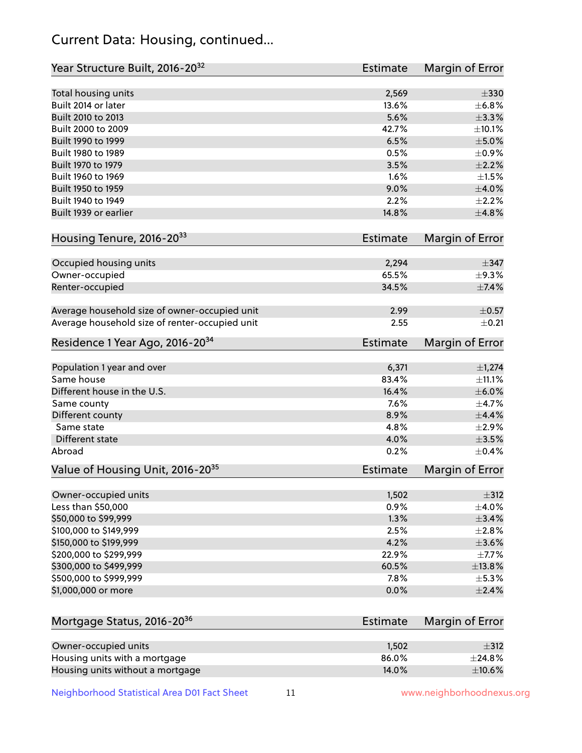## Current Data: Housing, continued...

| Year Structure Built, 2016-20 <sup>32</sup>    | <b>Estimate</b> | Margin of Error |
|------------------------------------------------|-----------------|-----------------|
| Total housing units                            | 2,569           | $\pm$ 330       |
| Built 2014 or later                            | 13.6%           | ±6.8%           |
| Built 2010 to 2013                             | 5.6%            | $\pm$ 3.3%      |
| Built 2000 to 2009                             | 42.7%           | ±10.1%          |
| Built 1990 to 1999                             | 6.5%            | $\pm$ 5.0%      |
| Built 1980 to 1989                             | 0.5%            | $\pm$ 0.9%      |
| Built 1970 to 1979                             | 3.5%            | $\pm 2.2\%$     |
| Built 1960 to 1969                             | 1.6%            | $\pm 1.5\%$     |
| Built 1950 to 1959                             | 9.0%            | ±4.0%           |
| Built 1940 to 1949                             | 2.2%            | $\pm 2.2\%$     |
| Built 1939 or earlier                          | 14.8%           | ±4.8%           |
| Housing Tenure, 2016-2033                      | <b>Estimate</b> | Margin of Error |
|                                                |                 |                 |
| Occupied housing units                         | 2,294           | $\pm$ 347       |
| Owner-occupied                                 | 65.5%           | $\pm$ 9.3%      |
| Renter-occupied                                | 34.5%           | $\pm$ 7.4%      |
| Average household size of owner-occupied unit  | 2.99            | $\pm$ 0.57      |
| Average household size of renter-occupied unit | 2.55            | $\pm$ 0.21      |
| Residence 1 Year Ago, 2016-20 <sup>34</sup>    | <b>Estimate</b> | Margin of Error |
| Population 1 year and over                     | 6,371           | $\pm$ 1,274     |
| Same house                                     | 83.4%           | ±11.1%          |
| Different house in the U.S.                    | 16.4%           | $\pm$ 6.0%      |
| Same county                                    | 7.6%            | ±4.7%           |
| Different county                               | 8.9%            | $\pm$ 4.4%      |
| Same state                                     | 4.8%            | $\pm 2.9\%$     |
| Different state                                | 4.0%            | $\pm$ 3.5%      |
| Abroad                                         | 0.2%            | $\pm$ 0.4%      |
| Value of Housing Unit, 2016-20 <sup>35</sup>   | <b>Estimate</b> | Margin of Error |
| Owner-occupied units                           | 1,502           | $\pm$ 312       |
| Less than \$50,000                             | 0.9%            | $\pm 4.0\%$     |
| \$50,000 to \$99,999                           | 1.3%            | ±3.4%           |
| \$100,000 to \$149,999                         | 2.5%            | $\pm 2.8\%$     |
| \$150,000 to \$199,999                         | 4.2%            | $\pm 3.6\%$     |
| \$200,000 to \$299,999                         | 22.9%           | $\pm$ 7.7%      |
| \$300,000 to \$499,999                         | 60.5%           | ±13.8%          |
| \$500,000 to \$999,999                         | 7.8%            | $\pm$ 5.3%      |
| \$1,000,000 or more                            | 0.0%            | $\pm 2.4\%$     |
|                                                |                 |                 |
| Mortgage Status, 2016-20 <sup>36</sup>         | <b>Estimate</b> | Margin of Error |
| Owner-occupied units                           | 1,502           | $\pm$ 312       |
| Housing units with a mortgage                  | 86.0%           | $±$ 24.8%       |
| Housing units without a mortgage               | 14.0%           | $\pm$ 10.6%     |

Neighborhood Statistical Area D01 Fact Sheet 11 11 www.neighborhoodnexus.org

Housing units without a mortgage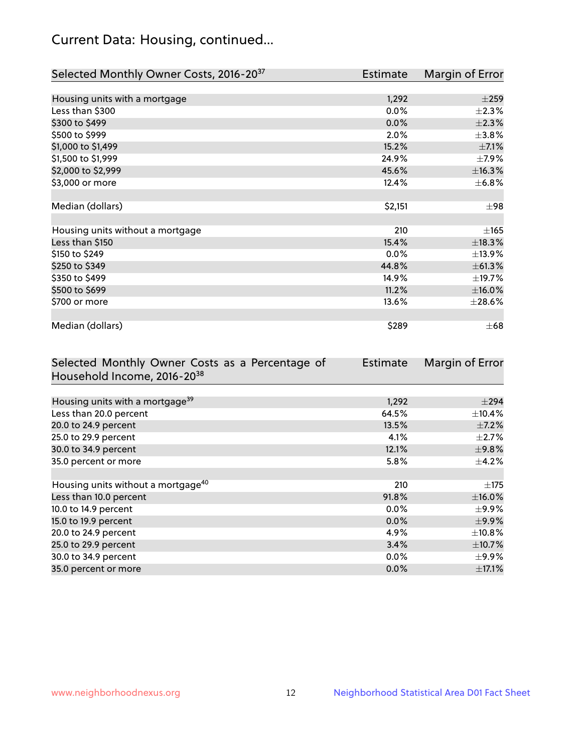## Current Data: Housing, continued...

| Selected Monthly Owner Costs, 2016-20 <sup>37</sup> | Estimate | Margin of Error |
|-----------------------------------------------------|----------|-----------------|
|                                                     |          |                 |
| Housing units with a mortgage                       | 1,292    | $\pm 259$       |
| Less than \$300                                     | 0.0%     | $\pm 2.3\%$     |
| \$300 to \$499                                      | 0.0%     | $\pm 2.3\%$     |
| \$500 to \$999                                      | 2.0%     | $\pm$ 3.8%      |
| \$1,000 to \$1,499                                  | 15.2%    | $\pm$ 7.1%      |
| \$1,500 to \$1,999                                  | 24.9%    | $\pm$ 7.9%      |
| \$2,000 to \$2,999                                  | 45.6%    | ±16.3%          |
| \$3,000 or more                                     | 12.4%    | $\pm$ 6.8%      |
|                                                     |          |                 |
| Median (dollars)                                    | \$2,151  | $\pm$ 98        |
|                                                     |          |                 |
| Housing units without a mortgage                    | 210      | $\pm 165$       |
| Less than \$150                                     | 15.4%    | ±18.3%          |
| \$150 to \$249                                      | 0.0%     | ±13.9%          |
| \$250 to \$349                                      | 44.8%    | ±61.3%          |
| \$350 to \$499                                      | 14.9%    | $\pm$ 19.7%     |
| \$500 to \$699                                      | 11.2%    | $\pm$ 16.0%     |
| \$700 or more                                       | 13.6%    | $\pm 28.6\%$    |
|                                                     |          |                 |
| Median (dollars)                                    | \$289    | $\pm 68$        |

| Selected Monthly Owner Costs as a Percentage of | <b>Estimate</b> | Margin of Error |
|-------------------------------------------------|-----------------|-----------------|
| Household Income, 2016-20 <sup>38</sup>         |                 |                 |
|                                                 |                 |                 |
| Housing units with a mortgage <sup>39</sup>     | 1,292           | $\pm$ 294       |
| Less than 20.0 percent                          | 64.5%           | $\pm$ 10.4%     |
| 20.0 to 24.9 percent                            | 13.5%           | $\pm$ 7.2%      |
| 25.0 to 29.9 percent                            | 4.1%            | $\pm 2.7\%$     |
| 30.0 to 34.9 percent                            | 12.1%           | $\pm$ 9.8%      |
| 35.0 percent or more                            | 5.8%            | $\pm$ 4.2%      |
|                                                 |                 |                 |
| Housing units without a mortgage <sup>40</sup>  | 210             | $\pm$ 175       |
| Less than 10.0 percent                          | 91.8%           | $\pm$ 16.0%     |
| 10.0 to 14.9 percent                            | 0.0%            | $\pm$ 9.9%      |
| 15.0 to 19.9 percent                            | 0.0%            | $\pm$ 9.9%      |
| 20.0 to 24.9 percent                            | 4.9%            | $\pm$ 10.8%     |
| 25.0 to 29.9 percent                            | 3.4%            | $\pm$ 10.7%     |
| 30.0 to 34.9 percent                            | $0.0\%$         | $\pm$ 9.9%      |
| 35.0 percent or more                            | 0.0%            | $\pm$ 17.1%     |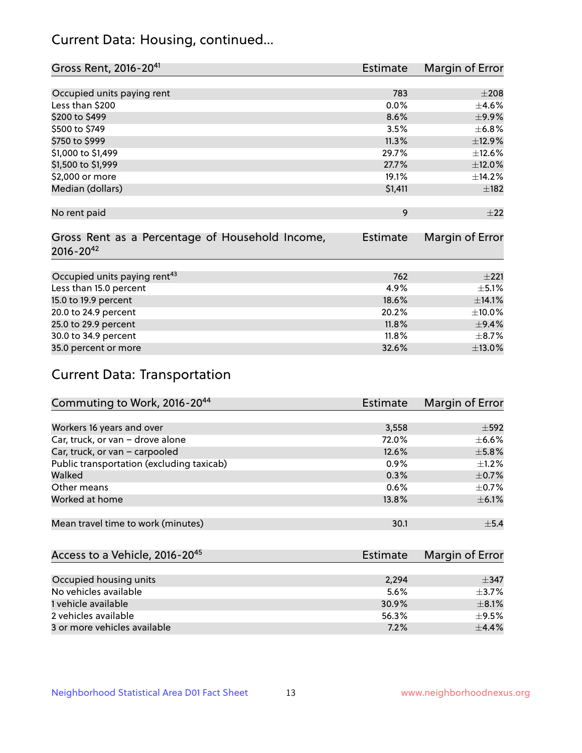## Current Data: Housing, continued...

| Gross Rent, 2016-20 <sup>41</sup>               | <b>Estimate</b> | Margin of Error |
|-------------------------------------------------|-----------------|-----------------|
|                                                 |                 |                 |
| Occupied units paying rent                      | 783             | $\pm 208$       |
| Less than \$200                                 | 0.0%            | $\pm$ 4.6%      |
| \$200 to \$499                                  | 8.6%            | $\pm$ 9.9%      |
| \$500 to \$749                                  | 3.5%            | $\pm$ 6.8%      |
| \$750 to \$999                                  | 11.3%           | ±12.9%          |
| \$1,000 to \$1,499                              | 29.7%           | ±12.6%          |
| \$1,500 to \$1,999                              | 27.7%           | $\pm$ 12.0%     |
| \$2,000 or more                                 | 19.1%           | ±14.2%          |
| Median (dollars)                                | \$1,411         | $\pm$ 182       |
|                                                 |                 |                 |
| No rent paid                                    | 9               | ±22             |
|                                                 |                 |                 |
| Gross Rent as a Percentage of Household Income, | <b>Estimate</b> | Margin of Error |
| $2016 - 20^{42}$                                |                 |                 |
|                                                 |                 |                 |
| Occupied units paying rent <sup>43</sup>        | 762             | $\pm 221$       |
| Less than 15.0 percent                          | 4.9%            | $\pm$ 5.1%      |
| 15.0 to 19.9 percent                            | 18.6%           | ±14.1%          |
| 20.0 to 24.9 percent                            | 20.2%           | $\pm 10.0\%$    |
| 25.0 to 29.9 percent                            | 11.8%           | $\pm$ 9.4%      |
| 30.0 to 34.9 percent                            | 11.8%           | $\pm$ 8.7%      |
| 35.0 percent or more                            | 32.6%           | $\pm$ 13.0%     |

# Current Data: Transportation

| Commuting to Work, 2016-20 <sup>44</sup>  | <b>Estimate</b> | Margin of Error |
|-------------------------------------------|-----------------|-----------------|
|                                           |                 |                 |
| Workers 16 years and over                 | 3,558           | $\pm$ 592       |
| Car, truck, or van - drove alone          | 72.0%           | $\pm$ 6.6%      |
| Car, truck, or van - carpooled            | 12.6%           | $\pm$ 5.8%      |
| Public transportation (excluding taxicab) | $0.9\%$         | $+1.2%$         |
| Walked                                    | 0.3%            | $\pm$ 0.7%      |
| Other means                               | 0.6%            | $\pm$ 0.7%      |
| Worked at home                            | 13.8%           | $\pm$ 6.1%      |
|                                           |                 |                 |
| Mean travel time to work (minutes)        | 30.1            | $\pm$ 5.4       |

| Access to a Vehicle, 2016-20 <sup>45</sup> | <b>Estimate</b> | Margin of Error |
|--------------------------------------------|-----------------|-----------------|
|                                            |                 |                 |
| Occupied housing units                     | 2,294           | $\pm$ 347       |
| No vehicles available                      | 5.6%            | $+3.7%$         |
| 1 vehicle available                        | 30.9%           | $\pm$ 8.1%      |
| 2 vehicles available                       | 56.3%           | $+9.5%$         |
| 3 or more vehicles available               | 7.2%            | $+4.4%$         |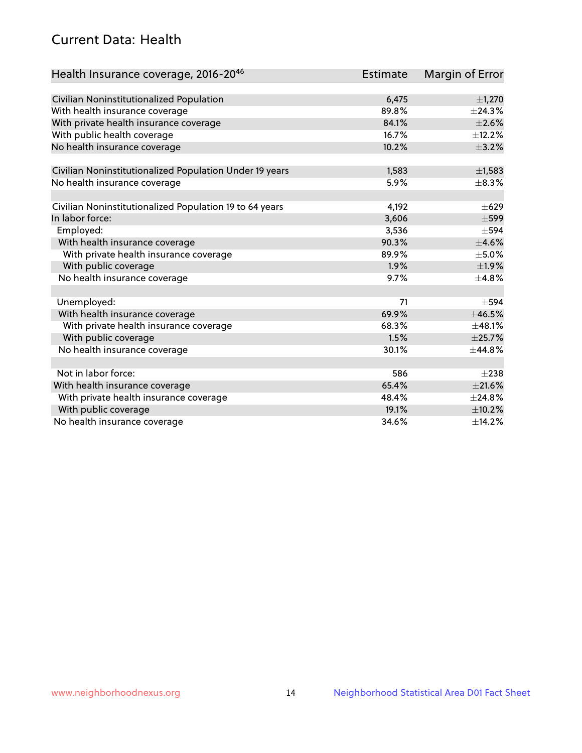## Current Data: Health

| Health Insurance coverage, 2016-2046                    | <b>Estimate</b> | Margin of Error |
|---------------------------------------------------------|-----------------|-----------------|
|                                                         |                 |                 |
| Civilian Noninstitutionalized Population                | 6,475           | $\pm$ 1,270     |
| With health insurance coverage                          | 89.8%           | ±24.3%          |
| With private health insurance coverage                  | 84.1%           | $\pm 2.6\%$     |
| With public health coverage                             | 16.7%           | ±12.2%          |
| No health insurance coverage                            | 10.2%           | $\pm$ 3.2%      |
|                                                         |                 |                 |
| Civilian Noninstitutionalized Population Under 19 years | 1,583           | $\pm$ 1,583     |
| No health insurance coverage                            | 5.9%            | $\pm$ 8.3%      |
| Civilian Noninstitutionalized Population 19 to 64 years | 4,192           | $\pm 629$       |
| In labor force:                                         | 3,606           | $\pm$ 599       |
| Employed:                                               | 3,536           | $\pm$ 594       |
| With health insurance coverage                          | 90.3%           | $\pm 4.6\%$     |
| With private health insurance coverage                  | 89.9%           | $\pm$ 5.0%      |
| With public coverage                                    | 1.9%            | $\pm$ 1.9%      |
| No health insurance coverage                            | 9.7%            | ±4.8%           |
|                                                         |                 |                 |
| Unemployed:                                             | 71              | $\pm$ 594       |
| With health insurance coverage                          | 69.9%           | ±46.5%          |
| With private health insurance coverage                  | 68.3%           | ±48.1%          |
| With public coverage                                    | 1.5%            | $\pm$ 25.7%     |
| No health insurance coverage                            | 30.1%           | ±44.8%          |
|                                                         |                 |                 |
| Not in labor force:                                     | 586             | $\pm 238$       |
| With health insurance coverage                          | 65.4%           | $\pm 21.6\%$    |
| With private health insurance coverage                  | 48.4%           | $±$ 24.8%       |
| With public coverage                                    | 19.1%           | $\pm$ 10.2%     |
| No health insurance coverage                            | 34.6%           | ±14.2%          |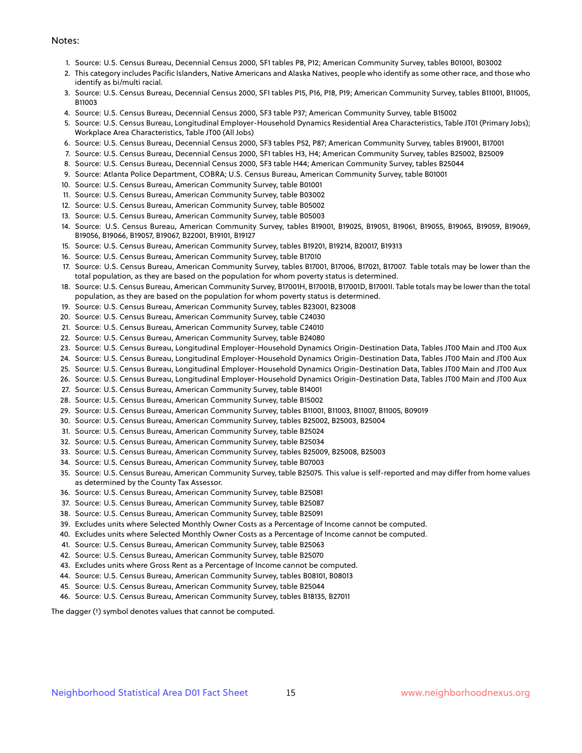#### Notes:

- 1. Source: U.S. Census Bureau, Decennial Census 2000, SF1 tables P8, P12; American Community Survey, tables B01001, B03002
- 2. This category includes Pacific Islanders, Native Americans and Alaska Natives, people who identify as some other race, and those who identify as bi/multi racial.
- 3. Source: U.S. Census Bureau, Decennial Census 2000, SF1 tables P15, P16, P18, P19; American Community Survey, tables B11001, B11005, B11003
- 4. Source: U.S. Census Bureau, Decennial Census 2000, SF3 table P37; American Community Survey, table B15002
- 5. Source: U.S. Census Bureau, Longitudinal Employer-Household Dynamics Residential Area Characteristics, Table JT01 (Primary Jobs); Workplace Area Characteristics, Table JT00 (All Jobs)
- 6. Source: U.S. Census Bureau, Decennial Census 2000, SF3 tables P52, P87; American Community Survey, tables B19001, B17001
- 7. Source: U.S. Census Bureau, Decennial Census 2000, SF1 tables H3, H4; American Community Survey, tables B25002, B25009
- 8. Source: U.S. Census Bureau, Decennial Census 2000, SF3 table H44; American Community Survey, tables B25044
- 9. Source: Atlanta Police Department, COBRA; U.S. Census Bureau, American Community Survey, table B01001
- 10. Source: U.S. Census Bureau, American Community Survey, table B01001
- 11. Source: U.S. Census Bureau, American Community Survey, table B03002
- 12. Source: U.S. Census Bureau, American Community Survey, table B05002
- 13. Source: U.S. Census Bureau, American Community Survey, table B05003
- 14. Source: U.S. Census Bureau, American Community Survey, tables B19001, B19025, B19051, B19061, B19055, B19065, B19059, B19069, B19056, B19066, B19057, B19067, B22001, B19101, B19127
- 15. Source: U.S. Census Bureau, American Community Survey, tables B19201, B19214, B20017, B19313
- 16. Source: U.S. Census Bureau, American Community Survey, table B17010
- 17. Source: U.S. Census Bureau, American Community Survey, tables B17001, B17006, B17021, B17007. Table totals may be lower than the total population, as they are based on the population for whom poverty status is determined.
- 18. Source: U.S. Census Bureau, American Community Survey, B17001H, B17001B, B17001D, B17001I. Table totals may be lower than the total population, as they are based on the population for whom poverty status is determined.
- 19. Source: U.S. Census Bureau, American Community Survey, tables B23001, B23008
- 20. Source: U.S. Census Bureau, American Community Survey, table C24030
- 21. Source: U.S. Census Bureau, American Community Survey, table C24010
- 22. Source: U.S. Census Bureau, American Community Survey, table B24080
- 23. Source: U.S. Census Bureau, Longitudinal Employer-Household Dynamics Origin-Destination Data, Tables JT00 Main and JT00 Aux
- 24. Source: U.S. Census Bureau, Longitudinal Employer-Household Dynamics Origin-Destination Data, Tables JT00 Main and JT00 Aux
- 25. Source: U.S. Census Bureau, Longitudinal Employer-Household Dynamics Origin-Destination Data, Tables JT00 Main and JT00 Aux
- 26. Source: U.S. Census Bureau, Longitudinal Employer-Household Dynamics Origin-Destination Data, Tables JT00 Main and JT00 Aux
- 27. Source: U.S. Census Bureau, American Community Survey, table B14001
- 28. Source: U.S. Census Bureau, American Community Survey, table B15002
- 29. Source: U.S. Census Bureau, American Community Survey, tables B11001, B11003, B11007, B11005, B09019
- 30. Source: U.S. Census Bureau, American Community Survey, tables B25002, B25003, B25004
- 31. Source: U.S. Census Bureau, American Community Survey, table B25024
- 32. Source: U.S. Census Bureau, American Community Survey, table B25034
- 33. Source: U.S. Census Bureau, American Community Survey, tables B25009, B25008, B25003
- 34. Source: U.S. Census Bureau, American Community Survey, table B07003
- 35. Source: U.S. Census Bureau, American Community Survey, table B25075. This value is self-reported and may differ from home values as determined by the County Tax Assessor.
- 36. Source: U.S. Census Bureau, American Community Survey, table B25081
- 37. Source: U.S. Census Bureau, American Community Survey, table B25087
- 38. Source: U.S. Census Bureau, American Community Survey, table B25091
- 39. Excludes units where Selected Monthly Owner Costs as a Percentage of Income cannot be computed.
- 40. Excludes units where Selected Monthly Owner Costs as a Percentage of Income cannot be computed.
- 41. Source: U.S. Census Bureau, American Community Survey, table B25063
- 42. Source: U.S. Census Bureau, American Community Survey, table B25070
- 43. Excludes units where Gross Rent as a Percentage of Income cannot be computed.
- 44. Source: U.S. Census Bureau, American Community Survey, tables B08101, B08013
- 45. Source: U.S. Census Bureau, American Community Survey, table B25044
- 46. Source: U.S. Census Bureau, American Community Survey, tables B18135, B27011

The dagger (†) symbol denotes values that cannot be computed.